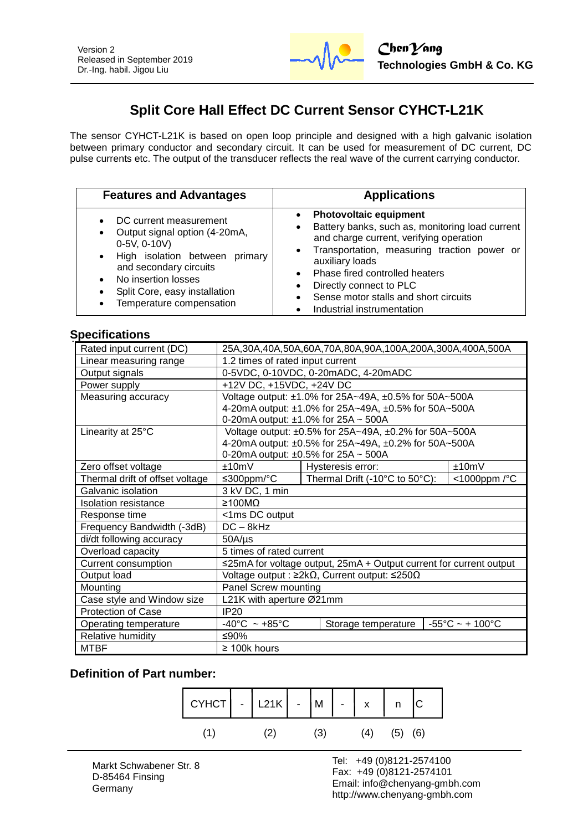

# **Split Core Hall Effect DC Current Sensor CYHCT-L21K**

The sensor CYHCT-L21K is based on open loop principle and designed with a high galvanic isolation between primary conductor and secondary circuit. It can be used for measurement of DC current, DC pulse currents etc. The output of the transducer reflects the real wave of the current carrying conductor.

| <b>Features and Advantages</b>                                                                                                                                                                                                                                                | <b>Applications</b>                                                                                                                                                                                                                                                                                                                                                                                     |
|-------------------------------------------------------------------------------------------------------------------------------------------------------------------------------------------------------------------------------------------------------------------------------|---------------------------------------------------------------------------------------------------------------------------------------------------------------------------------------------------------------------------------------------------------------------------------------------------------------------------------------------------------------------------------------------------------|
| DC current measurement<br>$\bullet$<br>Output signal option (4-20mA,<br>$\bullet$<br>0-5V, 0-10V)<br>• High isolation between primary<br>and secondary circuits<br>No insertion losses<br>$\bullet$<br>Split Core, easy installation<br>$\bullet$<br>Temperature compensation | <b>Photovoltaic equipment</b><br>$\bullet$<br>Battery banks, such as, monitoring load current<br>$\bullet$<br>and charge current, verifying operation<br>Transportation, measuring traction power or<br>$\bullet$<br>auxiliary loads<br>Phase fired controlled heaters<br>$\bullet$<br>Directly connect to PLC<br>$\bullet$<br>Sense motor stalls and short circuits<br>Industrial instrumentation<br>٠ |

#### **Specifications**

| Rated input current (DC)        | 25A,30A,40A,50A,60A,70A,80A,90A,100A,200A,300A,400A,500A                 |                                |                                      |  |
|---------------------------------|--------------------------------------------------------------------------|--------------------------------|--------------------------------------|--|
| Linear measuring range          | 1.2 times of rated input current                                         |                                |                                      |  |
| Output signals                  | 0-5VDC, 0-10VDC, 0-20mADC, 4-20mADC                                      |                                |                                      |  |
| Power supply                    |                                                                          |                                |                                      |  |
| Measuring accuracy              | +12V DC, +15VDC, +24V DC                                                 |                                |                                      |  |
|                                 | Voltage output: ±1.0% for 25A~49A, ±0.5% for 50A~500A                    |                                |                                      |  |
|                                 | 4-20mA output: ±1.0% for 25A~49A, ±0.5% for 50A~500A                     |                                |                                      |  |
|                                 | 0-20mA output: ±1.0% for 25A ~ 500A                                      |                                |                                      |  |
| Linearity at 25°C               | Voltage output: ±0.5% for 25A~49A, ±0.2% for 50A~500A                    |                                |                                      |  |
|                                 | 4-20mA output: ±0.5% for 25A~49A, ±0.2% for 50A~500A                     |                                |                                      |  |
|                                 | 0-20mA output: $\pm 0.5\%$ for 25A ~ 500A                                |                                |                                      |  |
| Zero offset voltage             | $+10mV$                                                                  | Hysteresis error:              | $+10mV$                              |  |
| Thermal drift of offset voltage | ≤300ppm/°C                                                               | Thermal Drift (-10°C to 50°C): | <1000ppm /°C                         |  |
| Galvanic isolation              | 3 kV DC, 1 min                                                           |                                |                                      |  |
| Isolation resistance            | ≥100MΩ                                                                   |                                |                                      |  |
| Response time                   | <1ms DC output                                                           |                                |                                      |  |
| Frequency Bandwidth (-3dB)      | $DC - 8kHz$                                                              |                                |                                      |  |
| di/dt following accuracy        | $50A/\mu s$                                                              |                                |                                      |  |
| Overload capacity               | 5 times of rated current                                                 |                                |                                      |  |
| Current consumption             | $\leq$ 25mA for voltage output, 25mA + Output current for current output |                                |                                      |  |
| Output load                     | Voltage output : $\geq 2k\Omega$ , Current output: $\leq 250\Omega$      |                                |                                      |  |
| Mounting                        | Panel Screw mounting                                                     |                                |                                      |  |
| Case style and Window size      | L21K with aperture Ø21mm                                                 |                                |                                      |  |
| <b>Protection of Case</b>       | <b>IP20</b>                                                              |                                |                                      |  |
| Operating temperature           | $-40^{\circ}$ C ~ +85 $^{\circ}$ C                                       | Storage temperature            | $-55^{\circ}$ C ~ + 100 $^{\circ}$ C |  |
| Relative humidity               | ≤90%                                                                     |                                |                                      |  |
| <b>MTBF</b>                     | $\geq$ 100k hours                                                        |                                |                                      |  |

#### **Definition of Part number:**



l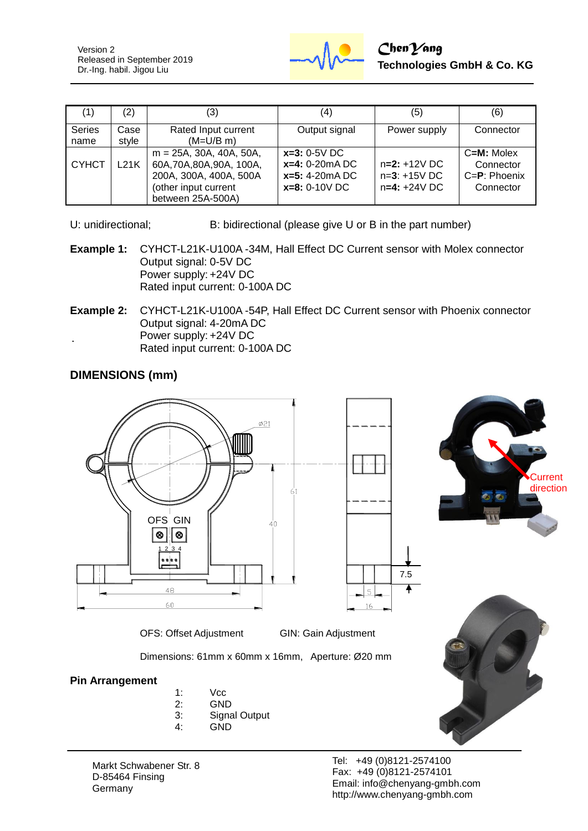Version 2 Released in September 2019 Dr.-Ing. habil. Jigou Liu



| (1)            | (2)              | (3)                                                                                                                            | (4)                                                                       | (5)                                                | (6)                                                          |
|----------------|------------------|--------------------------------------------------------------------------------------------------------------------------------|---------------------------------------------------------------------------|----------------------------------------------------|--------------------------------------------------------------|
| Series<br>name | Case<br>style    | Rated Input current<br>$(M=U/B \, m)$                                                                                          | Output signal                                                             | Power supply                                       | Connector                                                    |
| I СҮНСТ        | <sub>-21</sub> K | $m = 25A$ , 30A, 40A, 50A,<br>60A, 70A, 80A, 90A, 100A,<br>200A, 300A, 400A, 500A<br>(other input current<br>between 25A-500A) | $x=3: 0-5V$ DC<br>$x=4: 0-20mA DC$<br>$x=5: 4-20mA$ DC<br>$x=8: 0-10V$ DC | $n=2: +12V$ DC<br>$n=3: +15V$ DC<br>$n=4: +24V$ DC | $C=M$ : Molex<br>Connector<br>$C = P$ : Phoenix<br>Connector |

- U: unidirectional; B: bidirectional (please give U or B in the part number)
- **Example 1:** CYHCT-L21K-U100A -34M, Hall Effect DC Current sensor with Molex connector Output signal: 0-5V DC Power supply: +24V DC Rated input current: 0-100A DC
- **Example 2:** CYHCT-L21K-U100A -54P, Hall Effect DC Current sensor with Phoenix connector Output signal: 4-20mA DC Power supply: +24V DC Rated input current: 0-100A DC

## **DIMENSIONS (mm)**



![](_page_1_Picture_9.jpeg)

OFS: Offset Adjustment GIN: Gain Adjustment

Dimensions: 61mm x 60mm x 16mm, Aperture: Ø20 mm

#### **Pin Arrangement**

- 1: Vcc
- 2: GND
- 3: Signal Output
- 4: GND

Markt Schwabener Str. 8 D-85464 Finsing **Germany**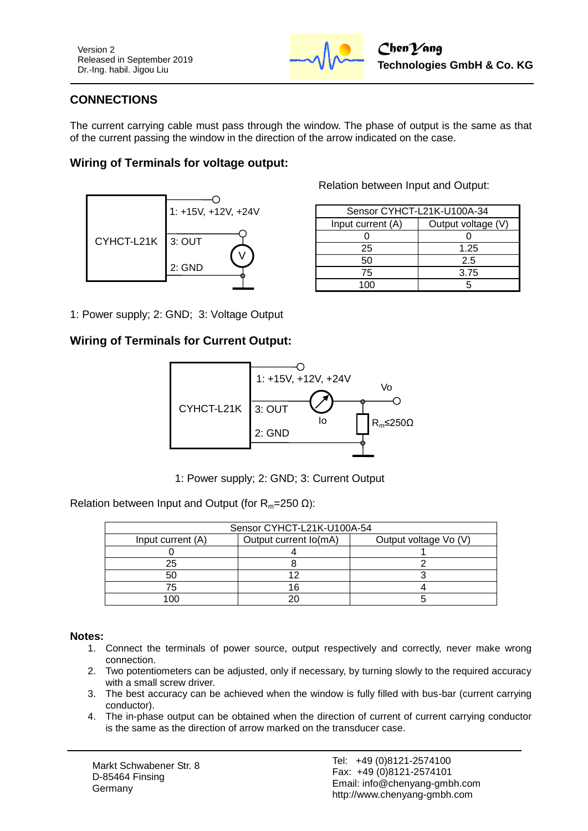Version 2 Released in September 2019 Dr.-Ing. habil. Jigou Liu

![](_page_2_Picture_1.jpeg)

# **CONNECTIONS**

The current carrying cable must pass through the window. The phase of output is the same as that of the current passing the window in the direction of the arrow indicated on the case.

### **Wiring of Terminals for voltage output:**

![](_page_2_Figure_5.jpeg)

Relation between Input and Output:

| Sensor CYHCT-L21K-U100A-34 |                    |  |
|----------------------------|--------------------|--|
| Input current (A)          | Output voltage (V) |  |
|                            |                    |  |
| 25                         | 1.25               |  |
| 50                         | 2.5                |  |
| 75                         | 3.75               |  |
|                            |                    |  |

1: Power supply; 2: GND; 3: Voltage Output

#### **Wiring of Terminals for Current Output:**

![](_page_2_Figure_10.jpeg)

1: Power supply; 2: GND; 3: Current Output

Relation between Input and Output (for  $R_m=250 \Omega$ ):

| Sensor CYHCT-L21K-U100A-54 |                       |                       |  |
|----------------------------|-----------------------|-----------------------|--|
| Input current (A)          | Output current lo(mA) | Output voltage Vo (V) |  |
|                            |                       |                       |  |
| 25                         |                       |                       |  |
| 50                         |                       |                       |  |
|                            |                       |                       |  |
|                            |                       |                       |  |

#### **Notes:**

- 1. Connect the terminals of power source, output respectively and correctly, never make wrong connection.
- 2. Two potentiometers can be adjusted, only if necessary, by turning slowly to the required accuracy with a small screw driver.
- 3. The best accuracy can be achieved when the window is fully filled with bus-bar (current carrying conductor).
- 4. The in-phase output can be obtained when the direction of current of current carrying conductor is the same as the direction of arrow marked on the transducer case.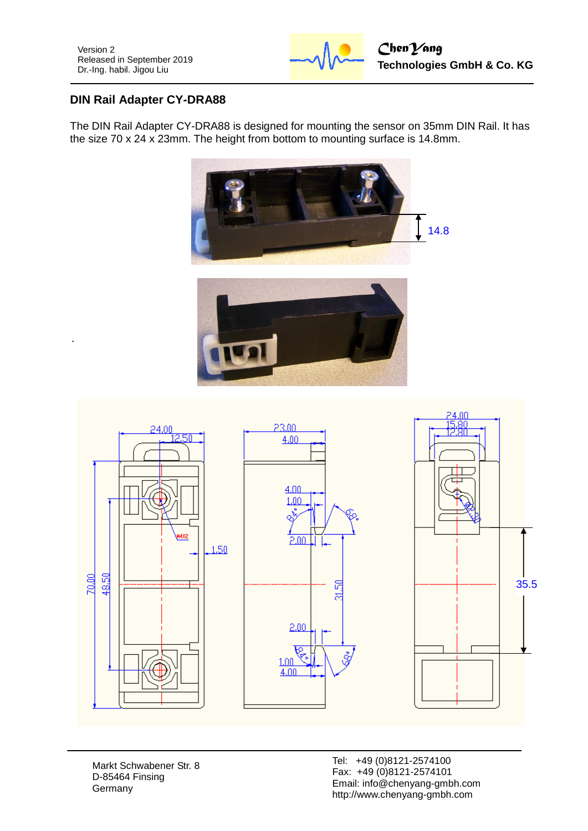![](_page_3_Picture_1.jpeg)

# **DIN Rail Adapter CY-DRA88**

The DIN Rail Adapter CY-DRA88 is designed for mounting the sensor on 35mm DIN Rail. It has the size 70 x 24 x 23mm. The height from bottom to mounting surface is 14.8mm.

![](_page_3_Picture_5.jpeg)

![](_page_3_Figure_6.jpeg)

Markt Schwabener Str. 8 D-85464 Finsing Germany